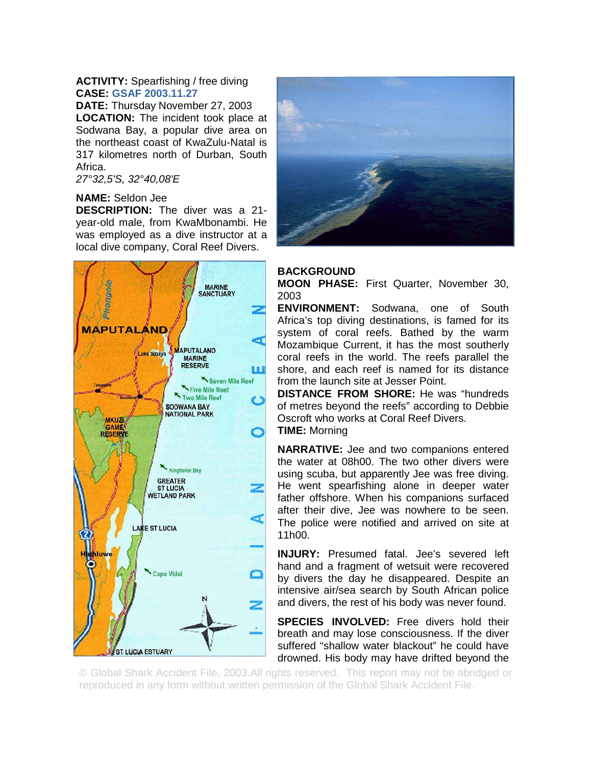## **ACTIVITY:** Spearfishing / free diving **CASE: GSAF 2003.11.27**

**DATE:** Thursday November 27, 2003 **LOCATION:** The incident took place at Sodwana Bay, a popular dive area on the northeast coast of KwaZulu-Natal is 317 kilometres north of Durban, South Africa.

*27°32,5'S, 32°40,08'E*

## **NAME:** Seldon Jee

**DESCRIPTION:** The diver was a 21 year-old male, from KwaMbonambi. He was employed as a dive instructor at a local dive company, Coral Reef Divers.





## **BACKGROUND**

**MOON PHASE:** First Quarter, November 30, 2003

**ENVIRONMENT:** Sodwana, one of South Africa's top diving destinations, is famed for its system of coral reefs. Bathed by the warm Mozambique Current, it has the most southerly coral reefs in the world. The reefs parallel the shore, and each reef is named for its distance from the launch site at Jesser Point.

**DISTANCE FROM SHORE:** He was "hundreds of metres beyond the reefs" according to Debbie Oscroft who works at Coral Reef Divers. **TIME:** Morning

**NARRATIVE:** Jee and two companions entered the water at 08h00. The two other divers were using scuba, but apparently Jee was free diving. He went spearfishing alone in deeper water father offshore. When his companions surfaced after their dive, Jee was nowhere to be seen. The police were notified and arrived on site at 11h00.

**INJURY:** Presumed fatal. Jee's severed left hand and a fragment of wetsuit were recovered by divers the day he disappeared. Despite an intensive air/sea search by South African police and divers, the rest of his body was never found.

**SPECIES INVOLVED:** Free divers hold their breath and may lose consciousness. If the diver suffered "shallow water blackout" he could have drowned. His body may have drifted beyond the

© Global Shark Accident File, 2003.All rights reserved. This report may not be abridged or reproduced in any form without written permission of the Global Shark Accident File.